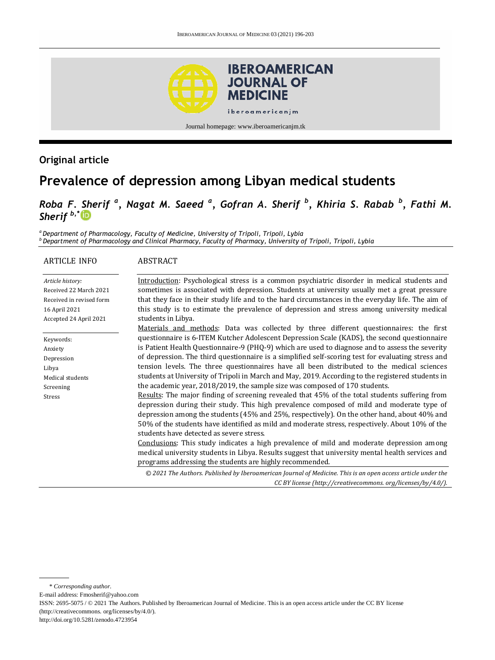

# **Original article**

# **Prevalence of depression among Libyan medical students**

# *Roba F. Sherif <sup>a</sup> , Nagat M. Saeed <sup>a</sup> , Gofran A. Sherif <sup>b</sup> , Khiria S. Rabab <sup>b</sup> , Fathi M. Sherif b,\**

*<sup>a</sup>Department of Pharmacology, Faculty of Medicine, University of Tripoli, Tripoli, Lybia <sup>b</sup> Department of Pharmacology and Clinical Pharmacy, Faculty of Pharmacy, University of Tripoli, Tripoli, Lybia*

| <b>ARTICLE INFO</b>                                                                                               | ABSTRACT                                                                                                                                                                                                                                                                                                                                                                                                                                                                                                                                                                                                                                                                                                                                                                                                                                                                                                                                                                                                                                                                                                                                                                                                                                                                                          |
|-------------------------------------------------------------------------------------------------------------------|---------------------------------------------------------------------------------------------------------------------------------------------------------------------------------------------------------------------------------------------------------------------------------------------------------------------------------------------------------------------------------------------------------------------------------------------------------------------------------------------------------------------------------------------------------------------------------------------------------------------------------------------------------------------------------------------------------------------------------------------------------------------------------------------------------------------------------------------------------------------------------------------------------------------------------------------------------------------------------------------------------------------------------------------------------------------------------------------------------------------------------------------------------------------------------------------------------------------------------------------------------------------------------------------------|
| Article history:<br>Received 22 March 2021<br>Received in revised form<br>16 April 2021<br>Accepted 24 April 2021 | Introduction: Psychological stress is a common psychiatric disorder in medical students and<br>sometimes is associated with depression. Students at university usually met a great pressure<br>that they face in their study life and to the hard circumstances in the everyday life. The aim of<br>this study is to estimate the prevalence of depression and stress among university medical<br>students in Libya.<br>Materials and methods: Data was collected by three different questionnaires: the first                                                                                                                                                                                                                                                                                                                                                                                                                                                                                                                                                                                                                                                                                                                                                                                    |
| Keywords:<br>Anxiety<br>Depression<br>Libya<br>Medical students<br>Screening<br>Stress                            | questionnaire is 6-ITEM Kutcher Adolescent Depression Scale (KADS), the second questionnaire<br>is Patient Health Questionnaire-9 (PHQ-9) which are used to diagnose and to assess the severity<br>of depression. The third questionnaire is a simplified self-scoring test for evaluating stress and<br>tension levels. The three questionnaires have all been distributed to the medical sciences<br>students at University of Tripoli in March and May, 2019. According to the registered students in<br>the academic year, 2018/2019, the sample size was composed of 170 students.<br>Results: The major finding of screening revealed that 45% of the total students suffering from<br>depression during their study. This high prevalence composed of mild and moderate type of<br>depression among the students (45% and 25%, respectively). On the other hand, about 40% and<br>50% of the students have identified as mild and moderate stress, respectively. About 10% of the<br>students have detected as severe stress.<br>Conclusions: This study indicates a high prevalence of mild and moderate depression among<br>medical university students in Libya. Results suggest that university mental health services and<br>programs addressing the students are highly recommended. |
|                                                                                                                   | © 2021 The Authors. Published by Iberoamerican Journal of Medicine. This is an open access article under the<br>CC BY license (http://creativecommons.org/licenses/by/4.0/).                                                                                                                                                                                                                                                                                                                                                                                                                                                                                                                                                                                                                                                                                                                                                                                                                                                                                                                                                                                                                                                                                                                      |

\* *Corresponding author.*

E-mail address: Fmosherif@yahoo.com

http://doi.org/10.5281/zenodo.4723954

ISSN: 2695-5075 / © 2021 The Authors. Published by Iberoamerican Journal of Medicine. This is an open access article under the CC BY license (http://creativecommons. org/licenses/by/4.0/).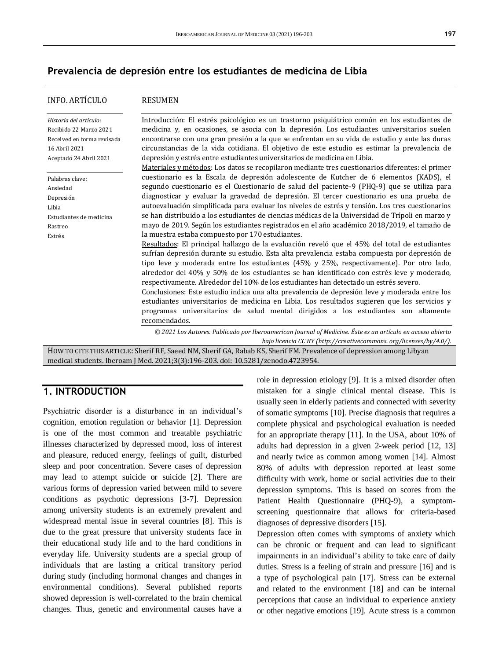#### **Prevalencia de depresión entre los estudiantes de medicina de Libia**

| <b>INFO. ARTÍCULO</b>                                                                                                     | <b>RESUMEN</b>                                                                                                                                                                                                                                                                                                                                                                                                                                                                                                                                                                                                                                                                                                                                                                                                                                                                                                                                                                                                                                                                                                                                                                                                                                                                                                                                                                                                                            |
|---------------------------------------------------------------------------------------------------------------------------|-------------------------------------------------------------------------------------------------------------------------------------------------------------------------------------------------------------------------------------------------------------------------------------------------------------------------------------------------------------------------------------------------------------------------------------------------------------------------------------------------------------------------------------------------------------------------------------------------------------------------------------------------------------------------------------------------------------------------------------------------------------------------------------------------------------------------------------------------------------------------------------------------------------------------------------------------------------------------------------------------------------------------------------------------------------------------------------------------------------------------------------------------------------------------------------------------------------------------------------------------------------------------------------------------------------------------------------------------------------------------------------------------------------------------------------------|
| Historia del artículo:<br>Recibido 22 Marzo 2021<br>Received en forma revisada<br>16 Abril 2021<br>Aceptado 24 Abril 2021 | Introducción: El estrés psicológico es un trastorno psiquiátrico común en los estudiantes de<br>medicina y, en ocasiones, se asocia con la depresión. Los estudiantes universitarios suelen<br>encontrarse con una gran presión a la que se enfrentan en su vida de estudio y ante las duras<br>circunstancias de la vida cotidiana. El objetivo de este estudio es estimar la prevalencia de<br>depresión y estrés entre estudiantes universitarios de medicina en Libia.<br>Materiales y métodos: Los datos se recopilaron mediante tres cuestionarios diferentes: el primer                                                                                                                                                                                                                                                                                                                                                                                                                                                                                                                                                                                                                                                                                                                                                                                                                                                            |
| Palabras clave:<br>Ansiedad<br>Depresión<br>Libia<br>Estudiantes de medicina<br>Rastreo<br>Estrés                         | cuestionario es la Escala de depresión adolescente de Kutcher de 6 elementos (KADS), el<br>segundo cuestionario es el Cuestionario de salud del paciente-9 (PHQ-9) que se utiliza para<br>diagnosticar y evaluar la gravedad de depresión. El tercer cuestionario es una prueba de<br>autoevaluación simplificada para evaluar los niveles de estrés y tensión. Los tres cuestionarios<br>se han distribuido a los estudiantes de ciencias médicas de la Universidad de Trípoli en marzo y<br>mayo de 2019. Según los estudiantes registrados en el año académico 2018/2019, el tamaño de<br>la muestra estaba compuesto por 170 estudiantes.<br>Resultados: El principal hallazgo de la evaluación reveló que el 45% del total de estudiantes<br>sufrían depresión durante su estudio. Esta alta prevalencia estaba compuesta por depresión de<br>tipo leve y moderada entre los estudiantes (45% y 25%, respectivamente). Por otro lado,<br>alrededor del 40% y 50% de los estudiantes se han identificado con estrés leve y moderado,<br>respectivamente. Alrededor del 10% de los estudiantes han detectado un estrés severo.<br>Conclusiones: Este estudio indica una alta prevalencia de depresión leve y moderada entre los<br>estudiantes universitarios de medicina en Libia. Los resultados sugieren que los servicios y<br>programas universitarios de salud mental dirigidos a los estudiantes son altamente<br>recomendados. |
|                                                                                                                           | © 2021 Los Autores. Publicado por Iberoamerican Journal of Medicine. Éste es un artículo en acceso abierto<br>bajo licencia CC BY (http://creativecommons. org/licenses/by/4.0/).                                                                                                                                                                                                                                                                                                                                                                                                                                                                                                                                                                                                                                                                                                                                                                                                                                                                                                                                                                                                                                                                                                                                                                                                                                                         |

HOW TO CITE THIS ARTICLE: Sherif RF, Saeed NM, Sherif GA, Rabab KS, Sherif FM. Prevalence of depression among Libyan medical students. Iberoam J Med. 2021;3(3):196-203. doi[: 10.5281/zenodo.](http://doi.org/10.5281/zenodo.4723954)**4**723954.

#### **1. INTRODUCTION**

Psychiatric disorder is a disturbance in an individual's cognition, emotion regulation or behavior [1]. Depression is one of the most common and treatable psychiatric illnesses characterized by depressed mood, loss of interest and pleasure, reduced energy, feelings of guilt, disturbed sleep and poor concentration. Severe cases of depression may lead to attempt suicide or suicide [2]. There are various forms of depression varied between mild to severe conditions as psychotic depressions [3-7]. Depression among university students is an extremely prevalent and widespread mental issue in several countries [8]. This is due to the great pressure that university students face in their educational study life and to the hard conditions in everyday life. University students are a special group of individuals that are lasting a critical transitory period during study (including hormonal changes and changes in environmental conditions). Several published reports showed depression is well-correlated to the brain chemical changes. Thus, genetic and environmental causes have a

role in depression etiology [9]. It is a mixed disorder often mistaken for a single clinical mental disease. This is usually seen in elderly patients and connected with severity of somatic symptoms [10]. Precise diagnosis that requires a complete physical and psychological evaluation is needed for an appropriate therapy [11]. In the USA, about 10% of adults had depression in a given 2-week period [12, 13] and nearly twice as common among women [14]. Almost 80% of adults with depression reported at least some difficulty with work, home or social activities due to their depression symptoms. This is based on scores from the Patient Health Questionnaire (PHQ-9), a symptomscreening questionnaire that allows for criteria-based diagnoses of depressive disorders [15].

Depression often comes with symptoms of anxiety which can be chronic or frequent and can lead to significant impairments in an individual's ability to take care of daily duties. Stress is a feeling of strain and pressure [16] and is a type of psychological pain [17]. Stress can be external and related to the environment [18] and can be internal perceptions that cause an individual to experience anxiety or other negative emotions [19]. Acute stress is a common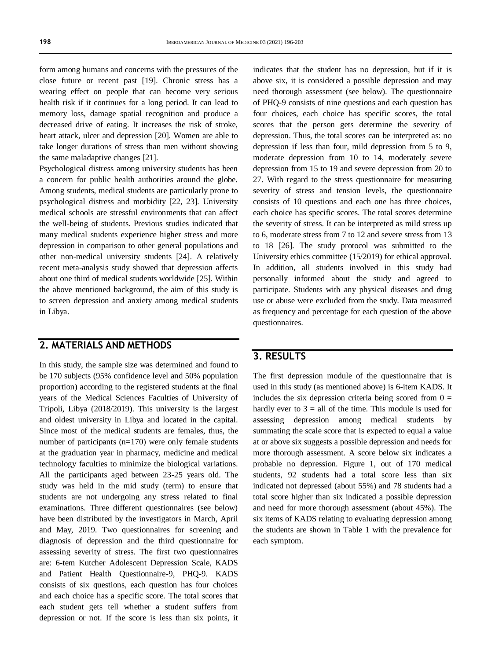form among humans and concerns with the pressures of the close future or recent past [19]. Chronic stress has a wearing effect on people that can become very serious health risk if it continues for a long period. It can lead to memory loss, damage spatial recognition and produce a decreased drive of eating. It increases the risk of stroke, heart attack, ulcer and depression [20]. Women are able to take longer durations of stress than men without showing the same maladaptive changes [21].

Psychological distress among university students has been a concern for public health authorities around the globe. Among students, medical students are particularly prone to psychological distress and morbidity [22, 23]. University medical schools are stressful environments that can affect the well-being of students. Previous studies indicated that many medical students experience higher stress and more depression in comparison to other general populations and other non-medical university students [24]. A relatively recent meta-analysis study showed that depression affects about one third of medical students worldwide [25]. Within the above mentioned background, the aim of this study is to screen depression and anxiety among medical students in Libya.

#### **2. MATERIALS AND METHODS**

In this study, the sample size was determined and found to be 170 subjects (95% confidence level and 50% population proportion) according to the registered students at the final years of the Medical Sciences Faculties of University of Tripoli, Libya (2018/2019). This university is the largest and oldest university in Libya and located in the capital. Since most of the medical students are females, thus, the number of participants (n=170) were only female students at the graduation year in pharmacy, medicine and medical technology faculties to minimize the biological variations. All the participants aged between 23-25 years old. The study was held in the mid study (term) to ensure that students are not undergoing any stress related to final examinations. Three different questionnaires (see below) have been distributed by the investigators in March, April and May, 2019. Two questionnaires for screening and diagnosis of depression and the third questionnaire for assessing severity of stress. The first two questionnaires are: 6-tem Kutcher Adolescent Depression Scale, KADS and Patient Health Questionnaire-9, PHQ-9. KADS consists of six questions, each question has four choices and each choice has a specific score. The total scores that each student gets tell whether a student suffers from depression or not. If the score is less than six points, it

indicates that the student has no depression, but if it is above six, it is considered a possible depression and may need thorough assessment (see below). The questionnaire of PHQ-9 consists of nine questions and each question has four choices, each choice has specific scores, the total scores that the person gets determine the severity of depression. Thus, the total scores can be interpreted as: no depression if less than four, mild depression from 5 to 9, moderate depression from 10 to 14, moderately severe depression from 15 to 19 and severe depression from 20 to 27. With regard to the stress questionnaire for measuring severity of stress and tension levels, the questionnaire consists of 10 questions and each one has three choices, each choice has specific scores. The total scores determine the severity of stress. It can be interpreted as mild stress up to 6, moderate stress from 7 to 12 and severe stress from 13 to 18 [26]. The study protocol was submitted to the University ethics committee (15/2019) for ethical approval. In addition, all students involved in this study had personally informed about the study and agreed to participate. Students with any physical diseases and drug use or abuse were excluded from the study. Data measured as frequency and percentage for each question of the above questionnaires.

### **3. RESULTS**

The first depression module of the questionnaire that is used in this study (as mentioned above) is 6-item KADS. It includes the six depression criteria being scored from  $0 =$ hardly ever to  $3 =$  all of the time. This module is used for assessing depression among medical students by summating the scale score that is expected to equal a value at or above six suggests a possible depression and needs for more thorough assessment. A score below six indicates a probable no depression. Figure 1, out of 170 medical students, 92 students had a total score less than six indicated not depressed (about 55%) and 78 students had a total score higher than six indicated a possible depression and need for more thorough assessment (about 45%). The six items of KADS relating to evaluating depression among the students are shown in Table 1 with the prevalence for each symptom.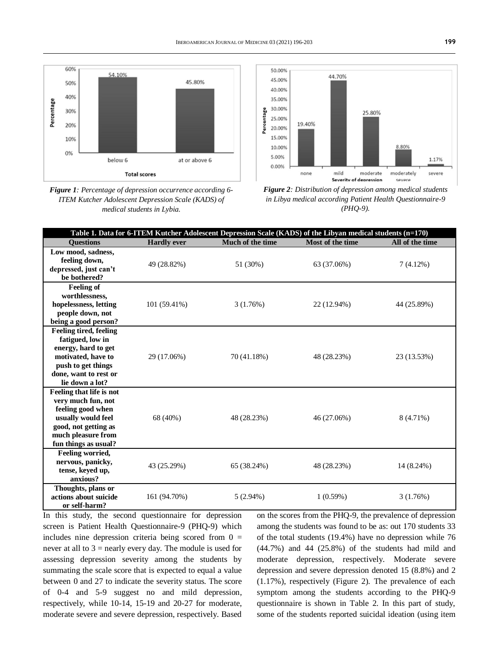50.00%

45.00%







44.70%

*Figure 2: Distribution of depression among medical students in Libya medical according Patient Health Questionnaire-9 (PHQ-9).*

| Table 1. Data for 6-ITEM Kutcher Adolescent Depression Scale (KADS) of the Libyan medical students (n=170)                                                       |                    |                  |                  |                 |
|------------------------------------------------------------------------------------------------------------------------------------------------------------------|--------------------|------------------|------------------|-----------------|
| <b>Ouestions</b>                                                                                                                                                 | <b>Hardly ever</b> | Much of the time | Most of the time | All of the time |
| Low mood, sadness,<br>feeling down,<br>depressed, just can't<br>be bothered?                                                                                     | 49 (28.82%)        | 51 (30%)         | 63 (37.06%)      | 7(4.12%)        |
| <b>Feeling of</b><br>worthlessness,<br>hopelessness, letting<br>people down, not<br>being a good person?                                                         | 101 (59.41%)       | 3(1.76%)         | 22 (12.94%)      | 44 (25.89%)     |
| <b>Feeling tired, feeling</b><br>fatigued, low in<br>energy, hard to get<br>motivated, have to<br>push to get things<br>done, want to rest or<br>lie down a lot? | 29 (17.06%)        | 70 (41.18%)      | 48 (28.23%)      | 23 (13.53%)     |
| Feeling that life is not<br>very much fun, not<br>feeling good when<br>usually would feel<br>good, not getting as<br>much pleasure from<br>fun things as usual?  | 68 (40%)           | 48 (28.23%)      | 46 (27.06%)      | 8 (4.71%)       |
| Feeling worried,<br>nervous, panicky,<br>tense, keyed up,<br>anxious?                                                                                            | 43 (25.29%)        | 65 (38.24%)      | 48 (28.23%)      | 14 (8.24%)      |
| Thoughts, plans or<br>actions about suicide<br>or self-harm?                                                                                                     | 161 (94.70%)       | $5(2.94\%)$      | 1(0.59%)         | 3(1.76%)        |

In this study, the second questionnaire for depression screen is Patient Health Questionnaire-9 (PHQ-9) which includes nine depression criteria being scored from  $0 =$ never at all to  $3$  = nearly every day. The module is used for assessing depression severity among the students by summating the scale score that is expected to equal a value between 0 and 27 to indicate the severity status. The score of 0-4 and 5-9 suggest no and mild depression, respectively, while 10-14, 15-19 and 20-27 for moderate, moderate severe and severe depression, respectively. Based on the scores from the PHQ-9, the prevalence of depression among the students was found to be as: out 170 students 33 of the total students (19.4%) have no depression while 76 (44.7%) and 44 (25.8%) of the students had mild and moderate depression, respectively. Moderate severe depression and severe depression denoted 15 (8.8%) and 2 (1.17%), respectively (Figure 2). The prevalence of each symptom among the students according to the PHQ-9 questionnaire is shown in Table 2. In this part of study, some of the students reported suicidal ideation (using item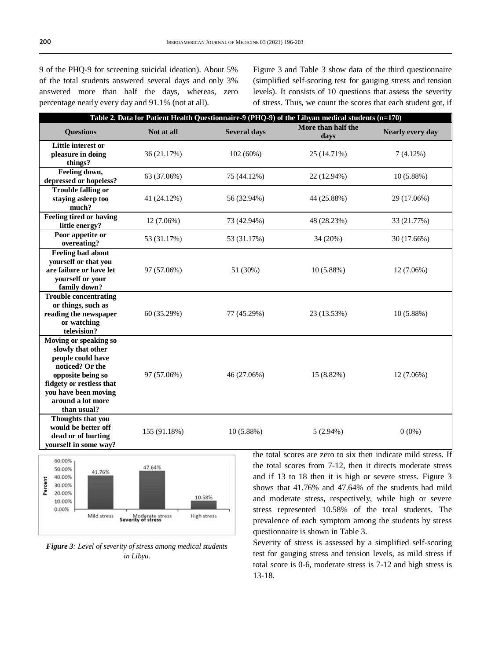9 of the PHQ-9 for screening suicidal ideation). About 5% of the total students answered several days and only 3% answered more than half the days, whereas, zero percentage nearly every day and 91.1% (not at all).

Figure 3 and Table 3 show data of the third questionnaire (simplified self-scoring test for gauging stress and tension levels). It consists of 10 questions that assess the severity of stress. Thus, we count the scores that each student got, if

| Table 2. Data for Patient Health Questionnaire-9 (PHQ-9) of the Libyan medical students (n=170)                                                                                                 |              |                     |                            |                  |
|-------------------------------------------------------------------------------------------------------------------------------------------------------------------------------------------------|--------------|---------------------|----------------------------|------------------|
| <b>Questions</b>                                                                                                                                                                                | Not at all   | <b>Several days</b> | More than half the<br>days | Nearly every day |
| Little interest or<br>pleasure in doing<br>things?                                                                                                                                              | 36 (21.17%)  | 102(60%)            | 25 (14.71%)                | 7(4.12%)         |
| Feeling down,<br>depressed or hopeless?                                                                                                                                                         | 63 (37.06%)  | 75 (44.12%)         | 22 (12.94%)                | $10(5.88\%)$     |
| <b>Trouble falling or</b><br>staying asleep too<br>much?                                                                                                                                        | 41 (24.12%)  | 56 (32.94%)         | 44 (25.88%)                | 29 (17.06%)      |
| <b>Feeling tired or having</b><br>little energy?                                                                                                                                                | 12 (7.06%)   | 73 (42.94%)         | 48 (28.23%)                | 33 (21.77%)      |
| Poor appetite or<br>overeating?                                                                                                                                                                 | 53 (31.17%)  | 53 (31.17%)         | 34 (20%)                   | 30 (17.66%)      |
| Feeling bad about<br>yourself or that you<br>are failure or have let<br>yourself or your<br>family down?                                                                                        | 97 (57.06%)  | 51 (30%)            | 10(5.88%)                  | 12 (7.06%)       |
| <b>Trouble concentrating</b><br>or things, such as<br>reading the newspaper<br>or watching<br>television?                                                                                       | 60 (35.29%)  | 77 (45.29%)         | 23 (13.53%)                | 10(5.88%)        |
| Moving or speaking so<br>slowly that other<br>people could have<br>noticed? Or the<br>opposite being so<br>fidgety or restless that<br>you have been moving<br>around a lot more<br>than usual? | 97 (57.06%)  | 46 (27.06%)         | 15 (8.82%)                 | 12 (7.06%)       |
| Thoughts that you<br>would be better off<br>dead or of hurting<br>yourself in some way?                                                                                                         | 155 (91.18%) | $10(5.88\%)$        | $5(2.94\%)$                | $0(0\%)$         |



*Figure 3: Level of severity of stress among medical students in Libya.*

the total scores are zero to six then indicate mild stress. If the total scores from 7-12, then it directs moderate stress and if 13 to 18 then it is high or severe stress. Figure 3 shows that 41.76% and 47.64% of the students had mild and moderate stress, respectively, while high or severe stress represented 10.58% of the total students. The prevalence of each symptom among the students by stress questionnaire is shown in Table 3.

Severity of stress is assessed by a simplified self-scoring test for gauging stress and tension levels, as mild stress if total score is 0-6, moderate stress is 7-12 and high stress is 13-18.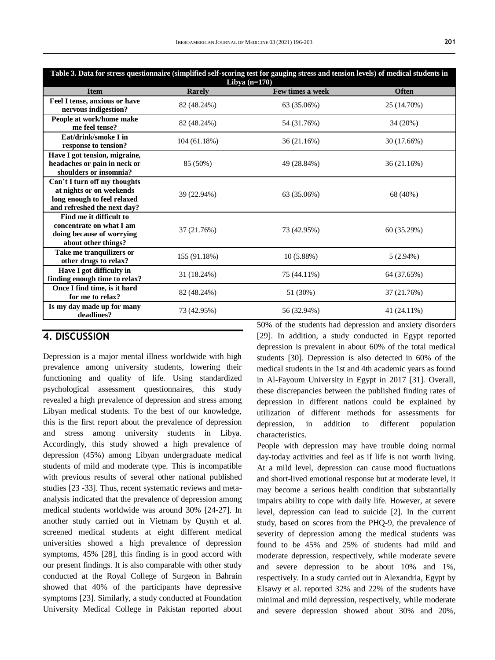| Table 3. Data for stress questionnaire (simplified self-scoring test for gauging stress and tension levels) of medical students in<br>Libya $(n=170)$ |               |                              |             |  |
|-------------------------------------------------------------------------------------------------------------------------------------------------------|---------------|------------------------------|-------------|--|
| <b>Item</b>                                                                                                                                           | <b>Rarely</b> | Few times a week             | Often       |  |
| Feel I tense, anxious or have<br>nervous indigestion?                                                                                                 | 82 (48.24%)   | 63 (35.06%)                  | 25 (14.70%) |  |
| People at work/home make<br>me feel tense?                                                                                                            | 82 (48.24%)   | 54 (31.76%)                  | 34 (20%)    |  |
| Eat/drink/smoke I in<br>response to tension?                                                                                                          | 104(61.18%)   | 36(21.16%)                   | 30 (17.66%) |  |
| Have I got tension, migraine,<br>headaches or pain in neck or<br>shoulders or insomnia?                                                               | 85 (50%)      | 49 (28.84%)                  | 36(21.16%)  |  |
| Can't I turn off my thoughts<br>at nights or on weekends<br>long enough to feel relaxed<br>and refreshed the next day?                                | 39 (22.94%)   | 63 (35.06%)                  | 68 (40%)    |  |
| Find me it difficult to<br>concentrate on what I am<br>doing because of worrying<br>about other things?                                               | 37 (21.76%)   | 73 (42.95%)                  | 60(35.29%)  |  |
| Take me tranquilizers or<br>other drugs to relax?                                                                                                     | 155 (91.18%)  | 10(5.88%)                    | $5(2.94\%)$ |  |
| Have I got difficulty in<br>finding enough time to relax?                                                                                             | 31 (18.24%)   | 75 (44.11%)                  | 64 (37.65%) |  |
| Once I find time, is it hard<br>for me to relax?                                                                                                      | 82 (48.24%)   | 51 (30%)                     | 37 (21.76%) |  |
| Is my day made up for many<br>deadlines?                                                                                                              | 73 (42.95%)   | 56 (32.94%)<br>$\sim$ $\sim$ | 41 (24.11%) |  |

#### **4. DISCUSSION**

Depression is a major mental illness worldwide with high prevalence among university students, lowering their functioning and quality of life. Using standardized psychological assessment questionnaires, this study revealed a high prevalence of depression and stress among Libyan medical students. To the best of our knowledge, this is the first report about the prevalence of depression and stress among university students in Libya. Accordingly, this study showed a high prevalence of depression (45%) among Libyan undergraduate medical students of mild and moderate type. This is incompatible with previous results of several other national published studies [23 -33]. Thus, recent systematic reviews and metaanalysis indicated that the prevalence of depression among medical students worldwide was around 30% [24-27]. In another study carried out in Vietnam by Quynh et al. screened medical students at eight different medical universities showed a high prevalence of depression symptoms, 45% [28], this finding is in good accord with our present findings. It is also comparable with other study conducted at the Royal College of Surgeon in Bahrain showed that 40% of the participants have depressive symptoms [23]. Similarly, a study conducted at Foundation University Medical College in Pakistan reported about

50% of the students had depression and anxiety disorders [29]. In addition, a study conducted in Egypt reported depression is prevalent in about 60% of the total medical students [30]. Depression is also detected in 60% of the medical students in the 1st and 4th academic years as found in Al-Fayoum University in Egypt in 2017 [31]. Overall, these discrepancies between the published finding rates of depression in different nations could be explained by utilization of different methods for assessments for depression, in addition to different population characteristics.

People with depression may have trouble doing normal day-today activities and feel as if life is not worth living. At a mild level, depression can cause mood fluctuations and short-lived emotional response but at moderate level, it may become a serious health condition that substantially impairs ability to cope with daily life. However, at severe level, depression can lead to suicide [2]. In the current study, based on scores from the PHQ-9, the prevalence of severity of depression among the medical students was found to be 45% and 25% of students had mild and moderate depression, respectively, while moderate severe and severe depression to be about 10% and 1%, respectively. In a study carried out in Alexandria, Egypt by Elsawy et al. reported 32% and 22% of the students have minimal and mild depression, respectively, while moderate and severe depression showed about 30% and 20%,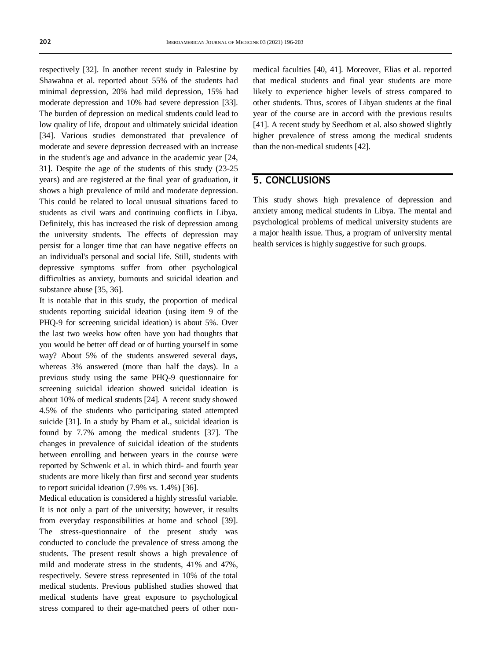respectively [32]. In another recent study in Palestine by Shawahna et al. reported about 55% of the students had minimal depression, 20% had mild depression, 15% had moderate depression and 10% had severe depression [33]. The burden of depression on medical students could lead to low quality of life, dropout and ultimately suicidal ideation [34]. Various studies demonstrated that prevalence of moderate and severe depression decreased with an increase in the student's age and advance in the academic year [24, 31]. Despite the age of the students of this study (23-25 years) and are registered at the final year of graduation, it shows a high prevalence of mild and moderate depression. This could be related to local unusual situations faced to students as civil wars and continuing conflicts in Libya. Definitely, this has increased the risk of depression among the university students. The effects of depression may persist for a longer time that can have negative effects on an individual's personal and social life. Still, students with depressive symptoms suffer from other psychological difficulties as anxiety, burnouts and suicidal ideation and substance abuse [35, 36].

It is notable that in this study, the proportion of medical students reporting suicidal ideation (using item 9 of the PHQ-9 for screening suicidal ideation) is about 5%. Over the last two weeks how often have you had thoughts that you would be better off dead or of hurting yourself in some way? About 5% of the students answered several days, whereas 3% answered (more than half the days). In a previous study using the same PHQ-9 questionnaire for screening suicidal ideation showed suicidal ideation is about 10% of medical students [24]. A recent study showed 4.5% of the students who participating stated attempted suicide [31]. In a study by Pham et al., suicidal ideation is found by 7.7% among the medical students [37]. The changes in prevalence of suicidal ideation of the students between enrolling and between years in the course were reported by Schwenk et al. in which third- and fourth year students are more likely than first and second year students to report suicidal ideation (7.9% vs. 1.4%) [36].

Medical education is considered a highly stressful variable. It is not only a part of the university; however, it results from everyday responsibilities at home and school [39]. The stress-questionnaire of the present study was conducted to conclude the prevalence of stress among the students. The present result shows a high prevalence of mild and moderate stress in the students, 41% and 47%, respectively. Severe stress represented in 10% of the total medical students. Previous published studies showed that medical students have great exposure to psychological stress compared to their age-matched peers of other nonmedical faculties [40, 41]. Moreover, Elias et al. reported that medical students and final year students are more likely to experience higher levels of stress compared to other students. Thus, scores of Libyan students at the final year of the course are in accord with the previous results [41]. A recent study by Seedhom et al. also showed slightly higher prevalence of stress among the medical students than the non-medical students [42].

## **5. CONCLUSIONS**

This study shows high prevalence of depression and anxiety among medical students in Libya. The mental and psychological problems of medical university students are a major health issue. Thus, a program of university mental health services is highly suggestive for such groups.